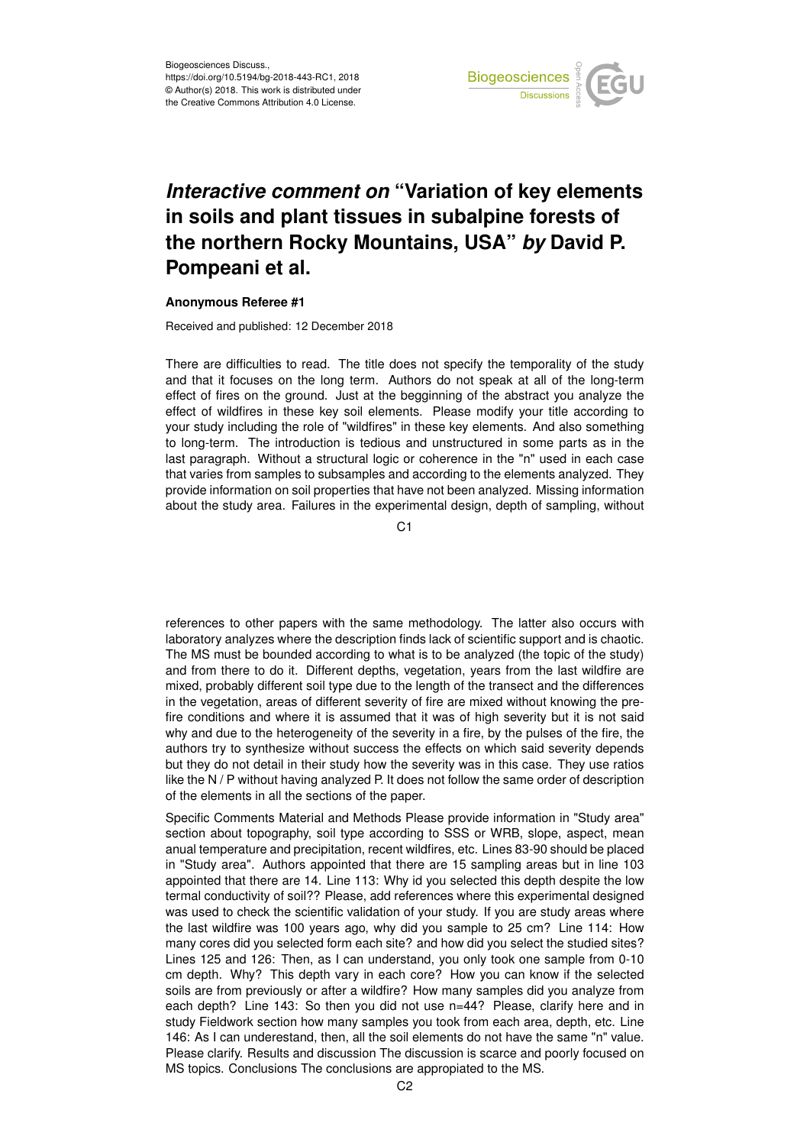

## *Interactive comment on* **"Variation of key elements in soils and plant tissues in subalpine forests of the northern Rocky Mountains, USA"** *by* **David P. Pompeani et al.**

## **Anonymous Referee #1**

Received and published: 12 December 2018

There are difficulties to read. The title does not specify the temporality of the study and that it focuses on the long term. Authors do not speak at all of the long-term effect of fires on the ground. Just at the begginning of the abstract you analyze the effect of wildfires in these key soil elements. Please modify your title according to your study including the role of "wildfires" in these key elements. And also something to long-term. The introduction is tedious and unstructured in some parts as in the last paragraph. Without a structural logic or coherence in the "n" used in each case that varies from samples to subsamples and according to the elements analyzed. They provide information on soil properties that have not been analyzed. Missing information about the study area. Failures in the experimental design, depth of sampling, without

C1

references to other papers with the same methodology. The latter also occurs with laboratory analyzes where the description finds lack of scientific support and is chaotic. The MS must be bounded according to what is to be analyzed (the topic of the study) and from there to do it. Different depths, vegetation, years from the last wildfire are mixed, probably different soil type due to the length of the transect and the differences in the vegetation, areas of different severity of fire are mixed without knowing the prefire conditions and where it is assumed that it was of high severity but it is not said why and due to the heterogeneity of the severity in a fire, by the pulses of the fire, the authors try to synthesize without success the effects on which said severity depends but they do not detail in their study how the severity was in this case. They use ratios like the N / P without having analyzed P. It does not follow the same order of description of the elements in all the sections of the paper.

Specific Comments Material and Methods Please provide information in "Study area" section about topography, soil type according to SSS or WRB, slope, aspect, mean anual temperature and precipitation, recent wildfires, etc. Lines 83-90 should be placed in "Study area". Authors appointed that there are 15 sampling areas but in line 103 appointed that there are 14. Line 113: Why id you selected this depth despite the low termal conductivity of soil?? Please, add references where this experimental designed was used to check the scientific validation of your study. If you are study areas where the last wildfire was 100 years ago, why did you sample to 25 cm? Line 114: How many cores did you selected form each site? and how did you select the studied sites? Lines 125 and 126: Then, as I can understand, you only took one sample from 0-10 cm depth. Why? This depth vary in each core? How you can know if the selected soils are from previously or after a wildfire? How many samples did you analyze from each depth? Line 143: So then you did not use n=44? Please, clarify here and in study Fieldwork section how many samples you took from each area, depth, etc. Line 146: As I can underestand, then, all the soil elements do not have the same "n" value. Please clarify. Results and discussion The discussion is scarce and poorly focused on MS topics. Conclusions The conclusions are appropiated to the MS.